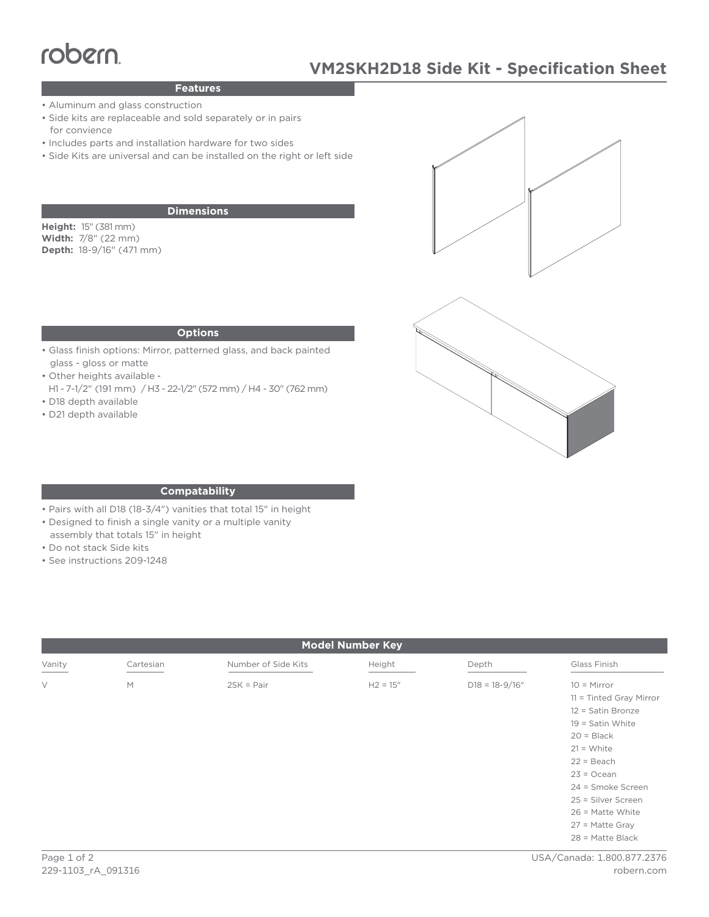# TODEM<br>Peatures MANUSKI

# **Features**

- Aluminum and glass construction
- Side kits are replaceable and sold separately or in pairs for convience
- Includes parts and installation hardware for two sides
- Side Kits are universal and can be installed on the right or left side

## **Dimensions**

**Height:** 15" (381 mm) **Width:** 7/8" (22 mm) **Depth:** 18-9/16" (471 mm)





#### **Options**

- Glass finish options: Mirror, patterned glass, and back painted glass - gloss or matte
- Other heights available -
- H1 7-1/2" (191 mm) / H3 22-1/2" (572 mm) / H4 30" (762 mm) • D18 depth available
- D21 depth available

### **Compatability**

- Pairs with all D18 (18-3/4") vanities that total 15" in height
- Designed to finish a single vanity or a multiple vanity
- assembly that totals 15" in height
- Do not stack Side kits
- See instructions 209-1248

| <b>Model Number Key</b> |           |                     |            |                    |                                                                                                                                                                                                                      |
|-------------------------|-----------|---------------------|------------|--------------------|----------------------------------------------------------------------------------------------------------------------------------------------------------------------------------------------------------------------|
| Vanity                  | Cartesian | Number of Side Kits | Height     | Depth              | Glass Finish                                                                                                                                                                                                         |
| $\vee$                  | M         | $2SK = Pair$        | $H2 = 15"$ | $D18 = 18 - 9/16"$ | $10 =$ Mirror<br>$11 =$ Tinted Gray Mirror<br>12 = Satin Bronze<br>$19 =$ Satin White<br>$20 = Black$<br>$21 = White$<br>$22 = Beach$<br>$23 = Ocean$<br>24 = Smoke Screen<br>25 = Silver Screen<br>26 = Matte White |
|                         |           |                     |            |                    | 27 = Matte Gray<br>$28$ = Matte Black                                                                                                                                                                                |